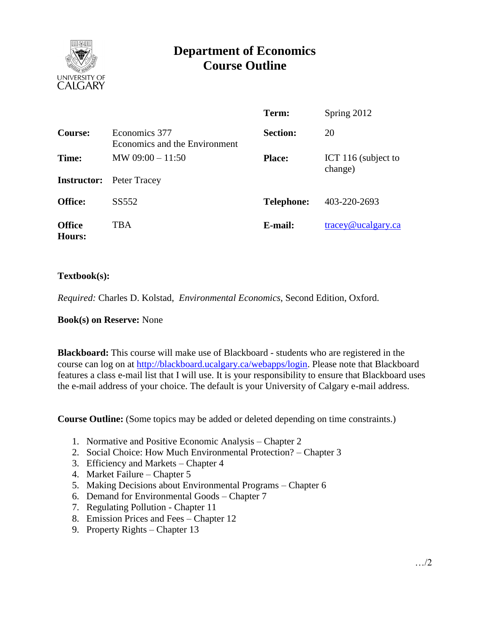

# **Department of Economics Course Outline**

|                         |                                                | Term:             | Spring 2012                    |
|-------------------------|------------------------------------------------|-------------------|--------------------------------|
| Course:                 | Economics 377<br>Economics and the Environment | <b>Section:</b>   | 20                             |
| Time:                   | MW $09:00 - 11:50$                             | <b>Place:</b>     | ICT 116 (subject to<br>change) |
|                         | <b>Instructor:</b> Peter Tracey                |                   |                                |
| <b>Office:</b>          | SS552                                          | <b>Telephone:</b> | 403-220-2693                   |
| <b>Office</b><br>Hours: | TBA                                            | E-mail:           | $trace$ y@ucalgary.ca          |

### **Textbook(s):**

*Required:* Charles D. Kolstad, *Environmental Economics*, Second Edition, Oxford.

**Book(s) on Reserve:** None

**Blackboard:** This course will make use of Blackboard - students who are registered in the course can log on at [http://blackboard.ucalgary.ca/webapps/login.](http://blackboard.ucalgary.ca/webapps/login) Please note that Blackboard features a class e-mail list that I will use. It is your responsibility to ensure that Blackboard uses the e-mail address of your choice. The default is your University of Calgary e-mail address.

**Course Outline:** (Some topics may be added or deleted depending on time constraints.)

- 1. Normative and Positive Economic Analysis Chapter 2
- 2. Social Choice: How Much Environmental Protection? Chapter 3
- 3. Efficiency and Markets Chapter 4
- 4. Market Failure Chapter 5
- 5. Making Decisions about Environmental Programs Chapter 6
- 6. Demand for Environmental Goods Chapter 7
- 7. Regulating Pollution Chapter 11
- 8. Emission Prices and Fees Chapter 12
- 9. Property Rights Chapter 13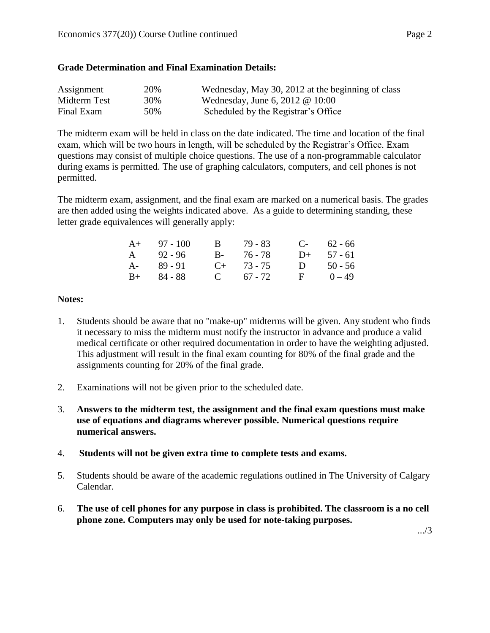### **Grade Determination and Final Examination Details:**

| Assignment   | 20% | Wednesday, May 30, 2012 at the beginning of class |
|--------------|-----|---------------------------------------------------|
| Midterm Test | 30% | Wednesday, June 6, 2012 $@$ 10:00                 |
| Final Exam   | 50% | Scheduled by the Registrar's Office               |

The midterm exam will be held in class on the date indicated. The time and location of the final exam, which will be two hours in length, will be scheduled by the Registrar's Office. Exam questions may consist of multiple choice questions. The use of a non-programmable calculator during exams is permitted. The use of graphing calculators, computers, and cell phones is not permitted.

The midterm exam, assignment, and the final exam are marked on a numerical basis. The grades are then added using the weights indicated above. As a guide to determining standing, these letter grade equivalences will generally apply:

| $A+ 97 - 100$ | B 79 - 83       |    | $C-$ 62 - 66 |
|---------------|-----------------|----|--------------|
| A 92 - 96     | B- 76-78        |    | $D+ 57 - 61$ |
| $A - 89 - 91$ | $C_{+}$ 73 - 75 | D. | $50 - 56$    |
| $B+ 84 - 88$  | C $67 - 72$     |    | $F = 0-49$   |

### **Notes:**

- 1. Students should be aware that no "make-up" midterms will be given. Any student who finds it necessary to miss the midterm must notify the instructor in advance and produce a valid medical certificate or other required documentation in order to have the weighting adjusted. This adjustment will result in the final exam counting for 80% of the final grade and the assignments counting for 20% of the final grade.
- 2. Examinations will not be given prior to the scheduled date.
- 3. **Answers to the midterm test, the assignment and the final exam questions must make use of equations and diagrams wherever possible. Numerical questions require numerical answers.**
- 4. **Students will not be given extra time to complete tests and exams.**
- 5. Students should be aware of the academic regulations outlined in The University of Calgary Calendar.
- 6. **The use of cell phones for any purpose in class is prohibited. The classroom is a no cell phone zone. Computers may only be used for note-taking purposes.**

.../3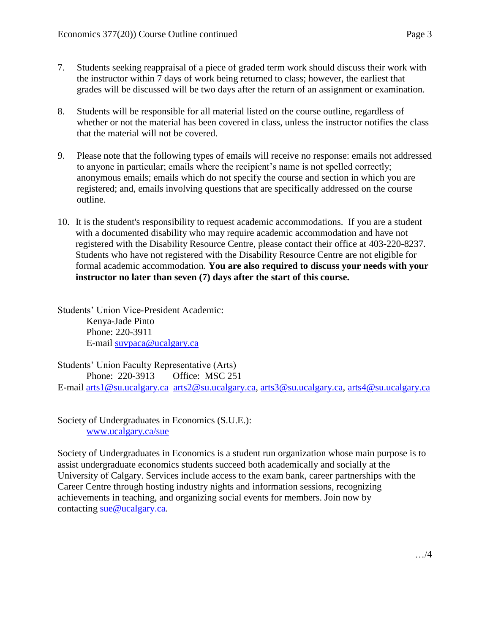- 7. Students seeking reappraisal of a piece of graded term work should discuss their work with the instructor within 7 days of work being returned to class; however, the earliest that grades will be discussed will be two days after the return of an assignment or examination.
- 8. Students will be responsible for all material listed on the course outline, regardless of whether or not the material has been covered in class, unless the instructor notifies the class that the material will not be covered.
- 9. Please note that the following types of emails will receive no response: emails not addressed to anyone in particular; emails where the recipient's name is not spelled correctly; anonymous emails; emails which do not specify the course and section in which you are registered; and, emails involving questions that are specifically addressed on the course outline.
- 10. It is the student's responsibility to request academic accommodations. If you are a student with a documented disability who may require academic accommodation and have not registered with the Disability Resource Centre, please contact their office at 403-220-8237. Students who have not registered with the Disability Resource Centre are not eligible for formal academic accommodation. **You are also required to discuss your needs with your instructor no later than seven (7) days after the start of this course.**

Students' Union Vice-President Academic: Kenya-Jade Pinto Phone: 220-3911 E-mail [suvpaca@ucalgary.ca](mailto:subpaca@ucalgary.ca)

Students' Union Faculty Representative (Arts) Phone: 220-3913 Office: MSC 251 E-mail [arts1@su.ucalgary.ca](mailto:arts1@su.ucalgary.ca) [arts2@su.ucalgary.ca,](mailto:arts2@su.ucalgary.ca) [arts3@su.ucalgary.ca,](mailto:arts3@su.ucalgary.ca) [arts4@su.ucalgary.ca](mailto:arts4@su.ucalgary.ca)

Society of Undergraduates in Economics (S.U.E.): [www.ucalgary.ca/sue](http://www.fp.ucalgary.ca/econ)

Society of Undergraduates in Economics is a student run organization whose main purpose is to assist undergraduate economics students succeed both academically and socially at the University of Calgary. Services include access to the exam bank, career partnerships with the Career Centre through hosting industry nights and information sessions, recognizing achievements in teaching, and organizing social events for members. Join now by contacting [sue@ucalgary.ca.](mailto:sue@ucalgary.ca)